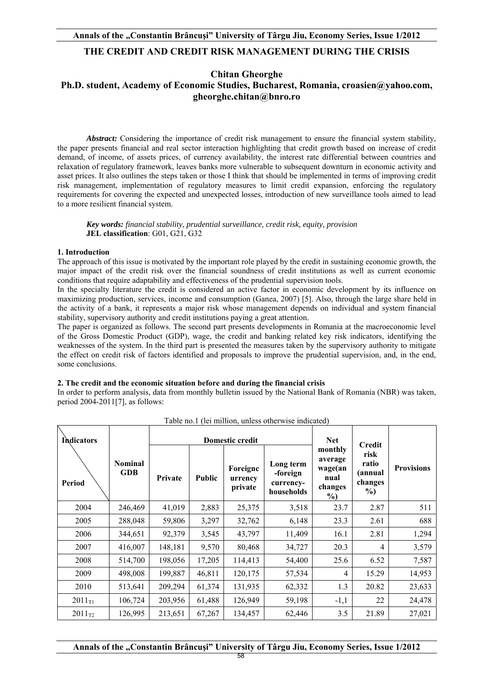## **THE CREDIT AND CREDIT RISK MANAGEMENT DURING THE CRISIS**

**Chitan Gheorghe** 

## **Ph.D. student, Academy of Economic Studies, Bucharest, Romania, croasien@yahoo.com, gheorghe.chitan@bnro.ro**

*Abstract:* Considering the importance of credit risk management to ensure the financial system stability, the paper presents financial and real sector interaction highlighting that credit growth based on increase of credit demand, of income, of assets prices, of currency availability, the interest rate differential between countries and relaxation of regulatory framework, leaves banks more vulnerable to subsequent downturn in economic activity and asset prices. It also outlines the steps taken or those I think that should be implemented in terms of improving credit risk management, implementation of regulatory measures to limit credit expansion, enforcing the regulatory requirements for covering the expected and unexpected losses, introduction of new surveillance tools aimed to lead to a more resilient financial system.

 *Key words: financial stability, prudential surveillance, credit risk, equity, provision* **JEL classification**: G01, G21, G32

#### **1. Introduction**

The approach of this issue is motivated by the important role played by the credit in sustaining economic growth, the major impact of the credit risk over the financial soundness of credit institutions as well as current economic conditions that require adaptability and effectiveness of the prudential supervision tools.

In the specialty literature the credit is considered an active factor in economic development by its influence on maximizing production, services, income and consumption (Ganea, 2007) [5]. Also, through the large share held in the activity of a bank, it represents a major risk whose management depends on individual and system financial stability, supervisory authority and credit institutions paying a great attention.

The paper is organized as follows. The second part presents developments in Romania at the macroeconomic level of the Gross Domestic Product (GDP), wage, the credit and banking related key risk indicators, identifying the weaknesses of the system. In the third part is presented the measures taken by the supervisory authority to mitigate the effect on credit risk of factors identified and proposals to improve the prudential supervision, and, in the end, some conclusions.

#### **2. The credit and the economic situation before and during the financial crisis**

In order to perform analysis, data from monthly bulletin issued by the National Bank of Romania (NBR) was taken, period 2004-2011[7], as follows:

| <b>Indicators</b> |                              | <b>Domestic credit</b> |        |                                |                                                  | <b>Net</b>                                               |                                                       |                   |
|-------------------|------------------------------|------------------------|--------|--------------------------------|--------------------------------------------------|----------------------------------------------------------|-------------------------------------------------------|-------------------|
| Period            | <b>Nominal</b><br><b>GDB</b> | Private                | Public | Foreigne<br>urrency<br>private | Long term<br>-foreign<br>currency-<br>households | monthly<br>average<br>wage(an<br>nual<br>changes<br>$\%$ | Credit<br>risk<br>ratio<br>(annual<br>changes<br>$\%$ | <b>Provisions</b> |
| 2004              | 246,469                      | 41,019                 | 2,883  | 25,375                         | 3,518                                            | 23.7                                                     | 2.87                                                  | 511               |
| 2005              | 288,048                      | 59,806                 | 3,297  | 32,762                         | 6,148                                            | 23.3                                                     | 2.61                                                  | 688               |
| 2006              | 344,651                      | 92,379                 | 3,545  | 43,797                         | 11,409                                           | 16.1                                                     | 2.81                                                  | 1,294             |
| 2007              | 416,007                      | 148,181                | 9,570  | 80,468                         | 34,727                                           | 20.3                                                     | $\overline{4}$                                        | 3,579             |
| 2008              | 514,700                      | 198,056                | 17,205 | 114,413                        | 54,400                                           | 25.6                                                     | 6.52                                                  | 7,587             |
| 2009              | 498,008                      | 199,887                | 46,811 | 120,175                        | 57,534                                           | 4                                                        | 15.29                                                 | 14,953            |
| 2010              | 513,641                      | 209,294                | 61,374 | 131,935                        | 62,332                                           | 1.3                                                      | 20.82                                                 | 23,633            |
| $2011_{T1}$       | 106,724                      | 203,956                | 61,488 | 126,949                        | 59,198                                           | $-1,1$                                                   | 22                                                    | 24,478            |
| $2011_{T2}$       | 126,995                      | 213,651                | 67,267 | 134,457                        | 62,446                                           | 3.5                                                      | 21.89                                                 | 27,021            |

Table no.1 (lei million, unless otherwise indicated)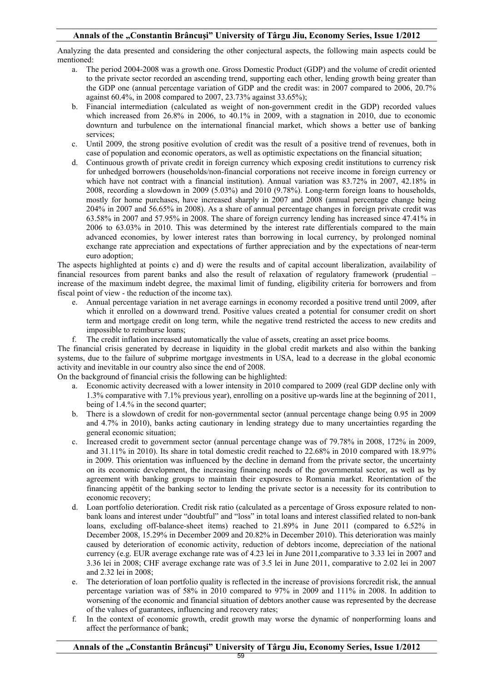Analyzing the data presented and considering the other conjectural aspects, the following main aspects could be mentioned:

- a. The period 2004-2008 was a growth one. Gross Domestic Product (GDP) and the volume of credit oriented to the private sector recorded an ascending trend, supporting each other, lending growth being greater than the GDP one (annual percentage variation of GDP and the credit was: in 2007 compared to 2006, 20.7% against 60.4%, in 2008 compared to 2007, 23.73% against 33.65%);
- b. Financial intermediation (calculated as weight of non-government credit in the GDP) recorded values which increased from 26.8% in 2006, to 40.1% in 2009, with a stagnation in 2010, due to economic downturn and turbulence on the international financial market, which shows a better use of banking services;
- c. Until 2009, the strong positive evolution of credit was the result of a positive trend of revenues, both in case of population and economic operators, as well as optimistic expectations on the financial situation;
- d. Continuous growth of private credit in foreign currency which exposing credit institutions to currency risk for unhedged borrowers (households/non-financial corporations not receive income in foreign currency or which have not contract with a financial institution). Annual variation was 83.72% in 2007, 42.18% in 2008, recording a slowdown in 2009 (5.03%) and 2010 (9.78%). Long-term foreign loans to households, mostly for home purchases, have increased sharply in 2007 and 2008 (annual percentage change being 204% in 2007 and 56.65% in 2008). As a share of annual percentage changes in foreign private credit was 63.58% in 2007 and 57.95% in 2008. The share of foreign currency lending has increased since 47.41% in 2006 to 63.03% in 2010. This was determined by the interest rate differentials compared to the main advanced economies, by lower interest rates than borrowing in local currency, by prolonged nominal exchange rate appreciation and expectations of further appreciation and by the expectations of near-term euro adoption;

The aspects highlighted at points c) and d) were the results and of capital account liberalization, availability of financial resources from parent banks and also the result of relaxation of regulatory framework (prudential – increase of the maximum indebt degree, the maximal limit of funding, eligibility criteria for borrowers and from fiscal point of view - the reduction of the income tax).

- e. Annual percentage variation in net average earnings in economy recorded a positive trend until 2009, after which it enrolled on a downward trend. Positive values created a potential for consumer credit on short term and mortgage credit on long term, while the negative trend restricted the access to new credits and impossible to reimburse loans;
- f. The credit inflation increased automatically the value of assets, creating an asset price booms.

The financial crisis generated by decrease in liquidity in the global credit markets and also within the banking systems, due to the failure of subprime mortgage investments in USA, lead to a decrease in the global economic activity and inevitable in our country also since the end of 2008.

On the background of financial crisis the following can be highlighted:

- a. Economic activity decreased with a lower intensity in 2010 compared to 2009 (real GDP decline only with 1.3% comparative with 7.1% previous year), enrolling on a positive up-wards line at the beginning of 2011, being of 1.4.% in the second quarter;
- b. There is a slowdown of credit for non-governmental sector (annual percentage change being 0.95 in 2009 and 4.7% in 2010), banks acting cautionary in lending strategy due to many uncertainties regarding the general economic situation;
- c. Increased credit to government sector (annual percentage change was of 79.78% in 2008, 172% in 2009, and 31.11% in 2010). Its share in total domestic credit reached to 22.68% in 2010 compared with 18.97% in 2009. This orientation was influenced by the decline in demand from the private sector, the uncertainty on its economic development, the increasing financing needs of the governmental sector, as well as by agreement with banking groups to maintain their exposures to Romania market. Reorientation of the financing appétit of the banking sector to lending the private sector is a necessity for its contribution to economic recovery;
- d. Loan portfolio deterioration. Credit risk ratio (calculated as a percentage of Gross exposure related to nonbank loans and interest under "doubtful" and "loss" in total loans and interest classified related to non-bank loans, excluding off-balance-sheet items) reached to 21.89% in June 2011 (compared to 6.52% in December 2008, 15.29% in December 2009 and 20.82% in December 2010). This deterioration was mainly caused by deterioration of economic activity, reduction of debtors income, depreciation of the national currency (e.g. EUR average exchange rate was of 4.23 lei in June 2011,comparative to 3.33 lei in 2007 and 3.36 lei in 2008; CHF average exchange rate was of 3.5 lei in June 2011, comparative to 2.02 lei in 2007 and 2.32 lei in 2008;
- e. The deterioration of loan portfolio quality is reflected in the increase of provisions forcredit risk, the annual percentage variation was of 58% in 2010 compared to 97% in 2009 and 111% in 2008. In addition to worsening of the economic and financial situation of debtors another cause was represented by the decrease of the values of guarantees, influencing and recovery rates;
- f. In the context of economic growth, credit growth may worse the dynamic of nonperforming loans and affect the performance of bank;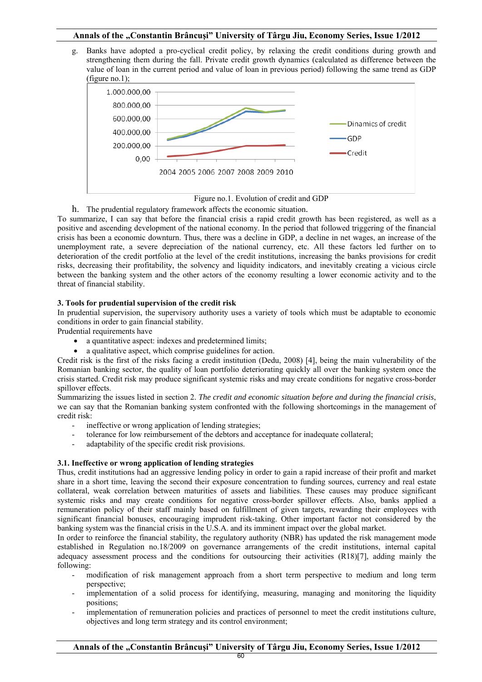g. Banks have adopted a pro-cyclical credit policy, by relaxing the credit conditions during growth and strengthening them during the fall. Private credit growth dynamics (calculated as difference between the value of loan in the current period and value of loan in previous period) following the same trend as GDP (figure no.1);



# Figure no.1. Evolution of credit and GDP

h. The prudential regulatory framework affects the economic situation. To summarize, I can say that before the financial crisis a rapid credit growth has been registered, as well as a positive and ascending development of the national economy. In the period that followed triggering of the financial crisis has been a economic downturn. Thus, there was a decline in GDP, a decline in net wages, an increase of the unemployment rate, a severe depreciation of the national currency, etc. All these factors led further on to deterioration of the credit portfolio at the level of the credit institutions, increasing the banks provisions for credit risks, decreasing their profitability, the solvency and liquidity indicators, and inevitably creating a vicious circle between the banking system and the other actors of the economy resulting a lower economic activity and to the threat of financial stability.

## **3. Tools for prudential supervision of the credit risk**

In prudential supervision, the supervisory authority uses a variety of tools which must be adaptable to economic conditions in order to gain financial stability.

Prudential requirements have

- a quantitative aspect: indexes and predetermined limits;
- a qualitative aspect, which comprise guidelines for action.

Credit risk is the first of the risks facing a credit institution (Dedu, 2008) [4], being the main vulnerability of the Romanian banking sector, the quality of loan portfolio deteriorating quickly all over the banking system once the crisis started. Credit risk may produce significant systemic risks and may create conditions for negative cross-border spillover effects.

Summarizing the issues listed in section 2. *The credit and economic situation before and during the financial crisis*, we can say that the Romanian banking system confronted with the following shortcomings in the management of credit risk:

- ineffective or wrong application of lending strategies;
- tolerance for low reimbursement of the debtors and acceptance for inadequate collateral;
- adaptability of the specific credit risk provisions.

## **3.1. Ineffective or wrong application of lending strategies**

Thus, credit institutions had an aggressive lending policy in order to gain a rapid increase of their profit and market share in a short time, leaving the second their exposure concentration to funding sources, currency and real estate collateral, weak correlation between maturities of assets and liabilities. These causes may produce significant systemic risks and may create conditions for negative cross-border spillover effects. Also, banks applied a remuneration policy of their staff mainly based on fulfillment of given targets, rewarding their employees with significant financial bonuses, encouraging imprudent risk-taking. Other important factor not considered by the banking system was the financial crisis in the U.S.A. and its imminent impact over the global market.

In order to reinforce the financial stability, the regulatory authority (NBR) has updated the risk management mode established in Regulation no.18/2009 on governance arrangements of the credit institutions, internal capital adequacy assessment process and the conditions for outsourcing their activities (R18)[7], adding mainly the following:

- modification of risk management approach from a short term perspective to medium and long term perspective;
- implementation of a solid process for identifying, measuring, managing and monitoring the liquidity positions;
- implementation of remuneration policies and practices of personnel to meet the credit institutions culture, objectives and long term strategy and its control environment;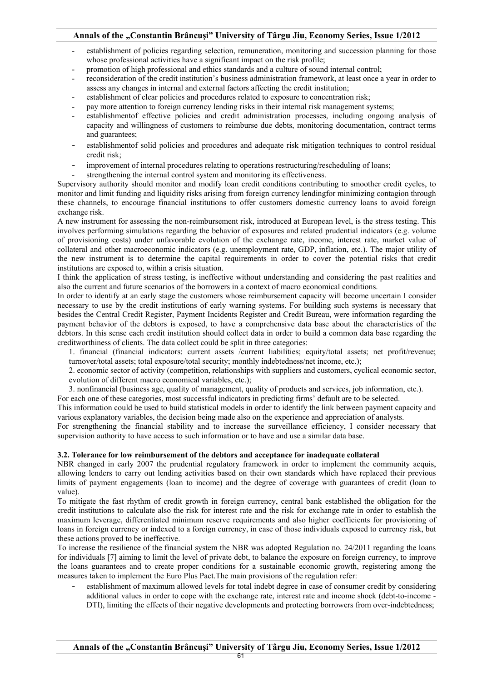- establishment of policies regarding selection, remuneration, monitoring and succession planning for those whose professional activities have a significant impact on the risk profile;
- promotion of high professional and ethics standards and a culture of sound internal control;
- reconsideration of the credit institution's business administration framework, at least once a year in order to assess any changes in internal and external factors affecting the credit institution;
- establishment of clear policies and procedures related to exposure to concentration risk;
- pay more attention to foreign currency lending risks in their internal risk management systems;
- establishmentof effective policies and credit administration processes, including ongoing analysis of capacity and willingness of customers to reimburse due debts, monitoring documentation, contract terms and guarantees;
- establishmentof solid policies and procedures and adequate risk mitigation techniques to control residual credit risk;
- improvement of internal procedures relating to operations restructuring/rescheduling of loans;
- strengthening the internal control system and monitoring its effectiveness.

Supervisory authority should monitor and modify loan credit conditions contributing to smoother credit cycles, to monitor and limit funding and liquidity risks arising from foreign currency lendingfor minimizing contagion through these channels, to encourage financial institutions to offer customers domestic currency loans to avoid foreign exchange risk.

A new instrument for assessing the non-reimbursement risk, introduced at European level, is the stress testing. This involves performing simulations regarding the behavior of exposures and related prudential indicators (e.g. volume of provisioning costs) under unfavorable evolution of the exchange rate, income, interest rate, market value of collateral and other macroeconomic indicators (e.g. unemployment rate, GDP, inflation, etc.). The major utility of the new instrument is to determine the capital requirements in order to cover the potential risks that credit institutions are exposed to, within a crisis situation.

I think the application of stress testing, is ineffective without understanding and considering the past realities and also the current and future scenarios of the borrowers in a context of macro economical conditions.

In order to identify at an early stage the customers whose reimbursement capacity will become uncertain I consider necessary to use by the credit institutions of early warning systems. For building such systems is necessary that besides the Central Credit Register, Payment Incidents Register and Credit Bureau, were information regarding the payment behavior of the debtors is exposed, to have a comprehensive data base about the characteristics of the debtors. In this sense each credit institution should collect data in order to build a common data base regarding the creditworthiness of clients. The data collect could be split in three categories:

1. financial (financial indicators: current assets /current liabilities; equity/total assets; net profit/revenue; turnover/total assets; total exposure/total security; monthly indebtedness/net income, etc.);

2. economic sector of activity (competition, relationships with suppliers and customers, cyclical economic sector, evolution of different macro economical variables, etc.);

3. nonfinancial (business age, quality of management, quality of products and services, job information, etc.).

For each one of these categories, most successful indicators in predicting firms' default are to be selected.

This information could be used to build statistical models in order to identify the link between payment capacity and various explanatory variables, the decision being made also on the experience and appreciation of analysts.

For strengthening the financial stability and to increase the surveillance efficiency, I consider necessary that supervision authority to have access to such information or to have and use a similar data base.

## **3.2. Tolerance for low reimbursement of the debtors and acceptance for inadequate collateral**

NBR changed in early 2007 the prudential regulatory framework in order to implement the community acquis, allowing lenders to carry out lending activities based on their own standards which have replaced their previous limits of payment engagements (loan to income) and the degree of coverage with guarantees of credit (loan to value).

To mitigate the fast rhythm of credit growth in foreign currency, central bank established the obligation for the credit institutions to calculate also the risk for interest rate and the risk for exchange rate in order to establish the maximum leverage, differentiated minimum reserve requirements and also higher coefficients for provisioning of loans in foreign currency or indexed to a foreign currency, in case of those individuals exposed to currency risk, but these actions proved to be ineffective.

To increase the resilience of the financial system the NBR was adopted Regulation no. 24/2011 regarding the loans for individuals [7] aiming to limit the level of private debt, to balance the exposure on foreign currency, to improve the loans guarantees and to create proper conditions for a sustainable economic growth, registering among the measures taken to implement the Euro Plus Pact.The main provisions of the regulation refer:

- establishment of maximum allowed levels for total indebt degree in case of consumer credit by considering additional values in order to cope with the exchange rate, interest rate and income shock (debt-to-income - DTI), limiting the effects of their negative developments and protecting borrowers from over-indebtedness;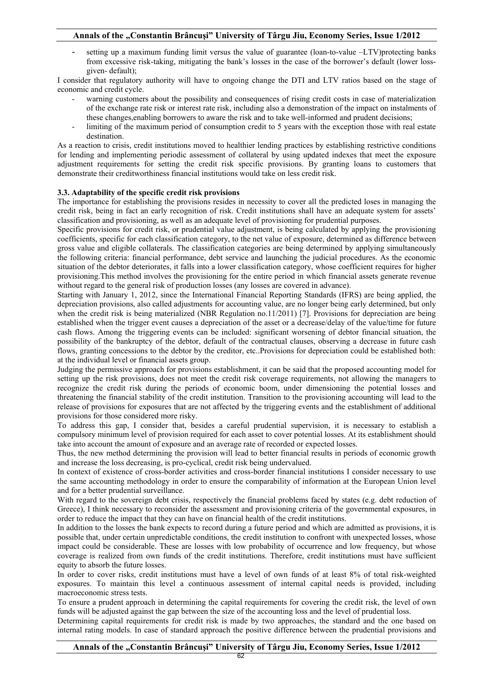- setting up a maximum funding limit versus the value of guarantee (loan-to-value –LTV)protecting banks from excessive risk-taking, mitigating the bank's losses in the case of the borrower's default (lower lossgiven- default);

I consider that regulatory authority will have to ongoing change the DTI and LTV ratios based on the stage of economic and credit cycle.

- warning customers about the possibility and consequences of rising credit costs in case of materialization of the exchange rate risk or interest rate risk, including also a demonstration of the impact on instalments of these changes,enabling borrowers to aware the risk and to take well-informed and prudent decisions;
- limiting of the maximum period of consumption credit to 5 years with the exception those with real estate destination.

As a reaction to crisis, credit institutions moved to healthier lending practices by establishing restrictive conditions for lending and implementing periodic assessment of collateral by using updated indexes that meet the exposure adjustment requirements for setting the credit risk specific provisions. By granting loans to customers that demonstrate their creditworthiness financial institutions would take on less credit risk.

## **3.3. Adaptability of the specific credit risk provisions**

The importance for establishing the provisions resides in necessity to cover all the predicted loses in managing the credit risk, being in fact an early recognition of risk. Credit institutions shall have an adequate system for assets' classification and provisioning, as well as an adequate level of provisioning for prudential purposes.

Specific provisions for credit risk, or prudential value adjustment, is being calculated by applying the provisioning coefficients, specific for each classification category, to the net value of exposure, determined as difference between gross value and eligible collaterals. The classification categories are being determined by applying simultaneously the following criteria: financial performance, debt service and launching the judicial procedures. As the economic situation of the debtor deteriorates, it falls into a lower classification category, whose coefficient requires for higher provisioning.This method involves the provisioning for the entire period in which financial assets generate revenue without regard to the general risk of production losses (any losses are covered in advance).

Starting with January 1, 2012, since the International Financial Reporting Standards (IFRS) are being applied, the depreciation provisions, also called adjustments for accounting value, are no longer being early determined, but only when the credit risk is being materialized (NBR Regulation no.11/2011) [7]. Provisions for depreciation are being established when the trigger event causes a depreciation of the asset or a decrease/delay of the value/time for future cash flows. Among the triggering events can be included: significant worsening of debtor financial situation, the possibility of the bankruptcy of the debtor, default of the contractual clauses, observing a decrease in future cash flows, granting concessions to the debtor by the creditor, etc..Provisions for depreciation could be established both: at the individual level or financial assets group.

Judging the permissive approach for provisions establishment, it can be said that the proposed accounting model for setting up the risk provisions, does not meet the credit risk coverage requirements, not allowing the managers to recognize the credit risk during the periods of economic boom, under dimensioning the potential losses and threatening the financial stability of the credit institution. Transition to the provisioning accounting will lead to the release of provisions for exposures that are not affected by the triggering events and the establishment of additional provisions for those considered more risky.

To address this gap, I consider that, besides a careful prudential supervision, it is necessary to establish a compulsory minimum level of provision required for each asset to cover potential losses. At its establishment should take into account the amount of exposure and an average rate of recorded or expected losses.

Thus, the new method determining the provision will lead to better financial results in periods of economic growth and increase the loss decreasing, is pro-cyclical, credit risk being undervalued.

In context of existence of cross-border activities and cross-border financial institutions I consider necessary to use the same accounting methodology in order to ensure the comparability of information at the European Union level and for a better prudential surveillance.

With regard to the sovereign debt crisis, respectively the financial problems faced by states (e.g. debt reduction of Greece), I think necessary to reconsider the assessment and provisioning criteria of the governmental exposures, in order to reduce the impact that they can have on financial health of the credit institutions.

In addition to the losses the bank expects to record during a future period and which are admitted as provisions, it is possible that, under certain unpredictable conditions, the credit institution to confront with unexpected losses, whose impact could be considerable. These are losses with low probability of occurrence and low frequency, but whose coverage is realized from own funds of the credit institutions. Therefore, credit institutions must have sufficient equity to absorb the future losses.

In order to cover risks, credit institutions must have a level of own funds of at least 8% of total risk-weighted exposures. To maintain this level a continuous assessment of internal capital needs is provided, including macroeconomic stress tests.

To ensure a prudent approach in determining the capital requirements for covering the credit risk, the level of own funds will be adjusted against the gap between the size of the accounting loss and the level of prudential loss.

Determining capital requirements for credit risk is made by two approaches, the standard and the one based on internal rating models. In case of standard approach the positive difference between the prudential provisions and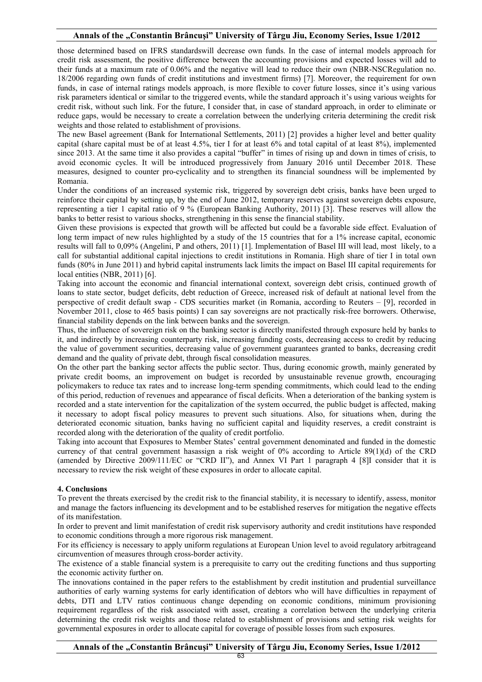those determined based on IFRS standardswill decrease own funds. In the case of internal models approach for credit risk assessment, the positive difference between the accounting provisions and expected losses will add to their funds at a maximum rate of 0.06% and the negative will lead to reduce their own (NBR-NSCRegulation no. 18/2006 regarding own funds of credit institutions and investment firms) [7]. Moreover, the requirement for own funds, in case of internal ratings models approach, is more flexible to cover future losses, since it's using various risk parameters identical or similar to the triggered events, while the standard approach it's using various weights for credit risk, without such link. For the future, I consider that, in case of standard approach, in order to eliminate or reduce gaps, would be necessary to create a correlation between the underlying criteria determining the credit risk weights and those related to establishment of provisions.

The new Basel agreement (Bank for International Settlements, 2011) [2] provides a higher level and better quality capital (share capital must be of at least 4.5%, tier I for at least 6% and total capital of at least 8%), implemented since 2013. At the same time it also provides a capital "buffer" in times of rising up and down in times of crisis, to avoid economic cycles. It will be introduced progressively from January 2016 until December 2018. These measures, designed to counter pro-cyclicality and to strengthen its financial soundness will be implemented by Romania.

Under the conditions of an increased systemic risk, triggered by sovereign debt crisis, banks have been urged to reinforce their capital by setting up, by the end of June 2012, temporary reserves against sovereign debts exposure, representing a tier 1 capital ratio of 9 % (European Banking Authority, 2011) [3]. These reserves will allow the banks to better resist to various shocks, strengthening in this sense the financial stability.

Given these provisions is expected that growth will be affected but could be a favorable side effect. Evaluation of long term impact of new rules highlighted by a study of the 15 countries that for a 1% increase capital, economic results will fall to 0,09% (Angelini, P and others, 2011) [1]. Implementation of Basel III will lead, most likely, to a call for substantial additional capital injections to credit institutions in Romania. High share of tier I in total own funds (80% in June 2011) and hybrid capital instruments lack limits the impact on Basel III capital requirements for local entities (NBR, 2011) [6].

Taking into account the economic and financial international context, sovereign debt crisis, continued growth of loans to state sector, budget deficits, debt reduction of Greece, increased risk of default at national level from the perspective of credit default swap - CDS securities market (in Romania, according to Reuters – [9], recorded in November 2011, close to 465 basis points) I can say sovereigns are not practically risk-free borrowers. Otherwise, financial stability depends on the link between banks and the sovereign.

Thus, the influence of sovereign risk on the banking sector is directly manifested through exposure held by banks to it, and indirectly by increasing counterparty risk, increasing funding costs, decreasing access to credit by reducing the value of government securities, decreasing value of government guarantees granted to banks, decreasing credit demand and the quality of private debt, through fiscal consolidation measures.

On the other part the banking sector affects the public sector. Thus, during economic growth, mainly generated by private credit booms, an improvement on budget is recorded by unsustainable revenue growth, encouraging policymakers to reduce tax rates and to increase long-term spending commitments, which could lead to the ending of this period, reduction of revenues and appearance of fiscal deficits. When a deterioration of the banking system is recorded and a state intervention for the capitalization of the system occurred, the public budget is affected, making it necessary to adopt fiscal policy measures to prevent such situations. Also, for situations when, during the deteriorated economic situation, banks having no sufficient capital and liquidity reserves, a credit constraint is recorded along with the deterioration of the quality of credit portfolio.

Taking into account that Exposures to Member States' central government denominated and funded in the domestic currency of that central government hasassign a risk weight of 0% according to Article 89(1)(d) of the CRD (amended by Directive 2009/111/EC or "CRD II"), and Annex VI Part 1 paragraph 4 [8]I consider that it is necessary to review the risk weight of these exposures in order to allocate capital.

#### **4. Conclusions**

To prevent the threats exercised by the credit risk to the financial stability, it is necessary to identify, assess, monitor and manage the factors influencing its development and to be established reserves for mitigation the negative effects of its manifestation.

In order to prevent and limit manifestation of credit risk supervisory authority and credit institutions have responded to economic conditions through a more rigorous risk management.

For its efficiency is necessary to apply uniform regulations at European Union level to avoid regulatory arbitrageand circumvention of measures through cross-border activity.

The existence of a stable financial system is a prerequisite to carry out the crediting functions and thus supporting the economic activity further on.

The innovations contained in the paper refers to the establishment by credit institution and prudential surveillance authorities of early warning systems for early identification of debtors who will have difficulties in repayment of debts, DTI and LTV ratios continuous change depending on economic conditions, minimum provisioning requirement regardless of the risk associated with asset, creating a correlation between the underlying criteria determining the credit risk weights and those related to establishment of provisions and setting risk weights for governmental exposures in order to allocate capital for coverage of possible losses from such exposures.

**Annals of the "Constantin Brâncuşi" University of Târgu Jiu, Economy Series, Issue 1/2012**